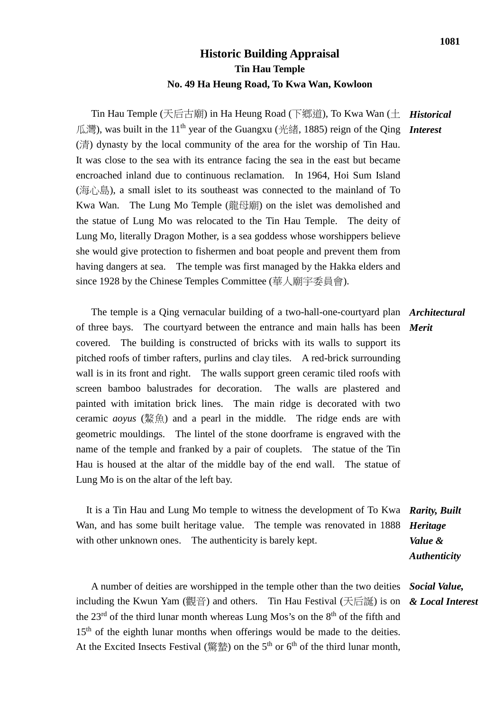## **Historic Building Appraisal Tin Hau Temple No. 49 Ha Heung Road, To Kwa Wan, Kowloon**

Tin Hau Temple (天后古廟) in Ha Heung Road (下鄉道), To Kwa Wan (土 *Historical* 瓜灣), was built in the 11th year of the Guangxu (光緒, 1885) reign of the Qing *Interest* (清) dynasty by the local community of the area for the worship of Tin Hau. It was close to the sea with its entrance facing the sea in the east but became encroached inland due to continuous reclamation. In 1964, Hoi Sum Island  $(\overline{\mathbb{R}})$ , a small islet to its southeast was connected to the mainland of To Kwa Wan. The Lung Mo Temple (龍母廟) on the islet was demolished and the statue of Lung Mo was relocated to the Tin Hau Temple. The deity of Lung Mo, literally Dragon Mother, is a sea goddess whose worshippers believe she would give protection to fishermen and boat people and prevent them from having dangers at sea. The temple was first managed by the Hakka elders and since 1928 by the Chinese Temples Committee (華人廟宇委員會).

 The temple is a Qing vernacular building of a two-hall-one-courtyard plan *Architectural* of three bays. The courtyard between the entrance and main halls has been *Merit* covered. The building is constructed of bricks with its walls to support its pitched roofs of timber rafters, purlins and clay tiles. A red-brick surrounding wall is in its front and right. The walls support green ceramic tiled roofs with screen bamboo balustrades for decoration. The walls are plastered and painted with imitation brick lines. The main ridge is decorated with two ceramic *aoyus* (鰲魚) and a pearl in the middle. The ridge ends are with geometric mouldings. The lintel of the stone doorframe is engraved with the name of the temple and franked by a pair of couplets. The statue of the Tin Hau is housed at the altar of the middle bay of the end wall. The statue of Lung Mo is on the altar of the left bay.

 It is a Tin Hau and Lung Mo temple to witness the development of To Kwa *Rarity, Built*  Wan, and has some built heritage value. The temple was renovated in 1888 *Heritage*  with other unknown ones. The authenticity is barely kept. *Value & Authenticity*

 A number of deities are worshipped in the temple other than the two deities *Social Value,* including the Kwun Yam (觀音) and others. Tin Hau Festival (天后誕) is on *& Local Interest* the  $23<sup>rd</sup>$  of the third lunar month whereas Lung Mos's on the  $8<sup>th</sup>$  of the fifth and  $15<sup>th</sup>$  of the eighth lunar months when offerings would be made to the deities. At the Excited Insects Festival (驚蟄) on the 5<sup>th</sup> or 6<sup>th</sup> of the third lunar month,